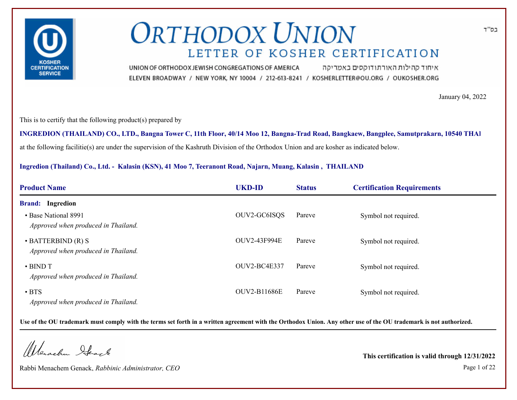

איחוד קהילות האורתודוקסים באמריקה UNION OF ORTHODOX JEWISH CONGREGATIONS OF AMERICA ELEVEN BROADWAY / NEW YORK, NY 10004 / 212-613-8241 / KOSHERLETTER@OU.ORG / OUKOSHER.ORG

January 04, 2022

This is to certify that the following product(s) prepared by

at the following facilitie(s) are under the supervision of the Kashruth Division of the Orthodox Union and are kosher as indicated below. **INGREDION (THAILAND) CO., LTD., Bangna Tower C, 11th Floor, 40/14 Moo 12, Bangna-Trad Road, Bangkaew, Bangplee, Samutprakarn, 10540 THAILAND**

**Ingredion (Thailand) Co., Ltd. - Kalasin (KSN), 41 Moo 7, Teeranont Road, Najarn, Muang, Kalasin , THAILAND**

| <b>Product Name</b>                                             | <b>UKD-ID</b>       | <b>Status</b> | <b>Certification Requirements</b> |
|-----------------------------------------------------------------|---------------------|---------------|-----------------------------------|
| <b>Brand:</b> Ingredion                                         |                     |               |                                   |
| • Base National 8991<br>Approved when produced in Thailand.     | OUV2-GC6ISQS        | Pareve        | Symbol not required.              |
| $\cdot$ BATTERBIND (R) S<br>Approved when produced in Thailand. | <b>OUV2-43F994E</b> | Pareve        | Symbol not required.              |
| $\cdot$ BIND T<br>Approved when produced in Thailand.           | OUV2-BC4E337        | Pareve        | Symbol not required.              |
| $\cdot$ BTS<br>Approved when produced in Thailand.              | <b>OUV2-B11686E</b> | Pareve        | Symbol not required.              |

**Use of the OU trademark must comply with the terms set forth in a written agreement with the Orthodox Union. Any other use of the OU trademark is not authorized.**

Wenachu Ifeach

Rabbi Menachem Genack, *Rabbinic Administrator, CEO* Page 1 of 22

**This certification is valid through 12/31/2022**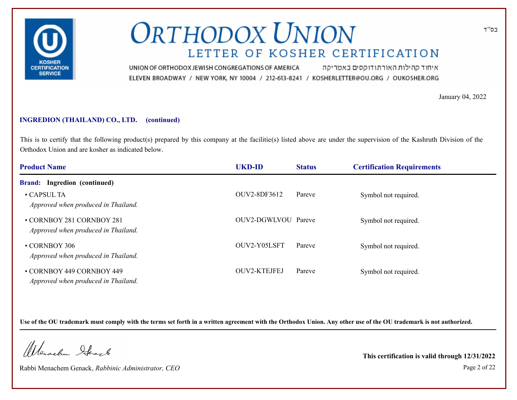

איחוד קהילות האורתודוקסים באמריקה UNION OF ORTHODOX JEWISH CONGREGATIONS OF AMERICA ELEVEN BROADWAY / NEW YORK, NY 10004 / 212-613-8241 / KOSHERLETTER@OU.ORG / OUKOSHER.ORG

January 04, 2022

### **INGREDION (THAILAND) CO., LTD. (continued)**

This is to certify that the following product(s) prepared by this company at the facilitie(s) listed above are under the supervision of the Kashruth Division of the Orthodox Union and are kosher as indicated below.

| <b>Product Name</b>                                              | <b>UKD-ID</b>       | <b>Status</b> | <b>Certification Requirements</b> |  |
|------------------------------------------------------------------|---------------------|---------------|-----------------------------------|--|
| <b>Brand:</b> Ingredion (continued)                              |                     |               |                                   |  |
| $\cdot$ CAPSUL TA<br>Approved when produced in Thailand.         | OUV2-8DF3612        | Pareve        | Symbol not required.              |  |
| • CORNBOY 281 CORNBOY 281<br>Approved when produced in Thailand. | OUV2-DGWLVOU Pareve |               | Symbol not required.              |  |
| • CORNBOY 306<br>Approved when produced in Thailand.             | OUV2-Y05LSFT        | Pareve        | Symbol not required.              |  |
| • CORNBOY 449 CORNBOY 449<br>Approved when produced in Thailand. | <b>OUV2-KTEJFEJ</b> | Pareve        | Symbol not required.              |  |

**Use of the OU trademark must comply with the terms set forth in a written agreement with the Orthodox Union. Any other use of the OU trademark is not authorized.**

Werschn Stack

Rabbi Menachem Genack, *Rabbinic Administrator, CEO* Page 2 of 22

**This certification is valid through 12/31/2022**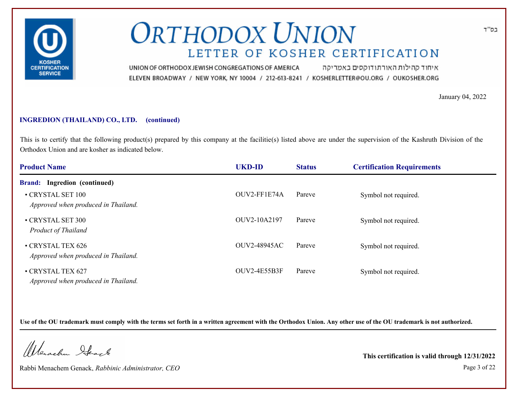

איחוד קהילות האורתודוקסים באמריקה UNION OF ORTHODOX JEWISH CONGREGATIONS OF AMERICA ELEVEN BROADWAY / NEW YORK, NY 10004 / 212-613-8241 / KOSHERLETTER@OU.ORG / OUKOSHER.ORG

January 04, 2022

### **INGREDION (THAILAND) CO., LTD. (continued)**

This is to certify that the following product(s) prepared by this company at the facilitie(s) listed above are under the supervision of the Kashruth Division of the Orthodox Union and are kosher as indicated below.

| <b>Product Name</b>                                      | <b>UKD-ID</b>       | <b>Status</b> | <b>Certification Requirements</b> |  |
|----------------------------------------------------------|---------------------|---------------|-----------------------------------|--|
| <b>Brand:</b> Ingredion (continued)                      |                     |               |                                   |  |
| • CRYSTAL SET 100<br>Approved when produced in Thailand. | OUV2-FF1E74A        | Pareve        | Symbol not required.              |  |
| • CRYSTAL SET 300<br><b>Product of Thailand</b>          | OUV2-10A2197        | Pareve        | Symbol not required.              |  |
| • CRYSTAL TEX 626<br>Approved when produced in Thailand. | <b>OUV2-48945AC</b> | Pareve        | Symbol not required.              |  |
| • CRYSTAL TEX 627<br>Approved when produced in Thailand. | OUV2-4E55B3F        | Pareve        | Symbol not required.              |  |

**Use of the OU trademark must comply with the terms set forth in a written agreement with the Orthodox Union. Any other use of the OU trademark is not authorized.**

Werschn Stack

Rabbi Menachem Genack, *Rabbinic Administrator, CEO* Page 3 of 22

**This certification is valid through 12/31/2022**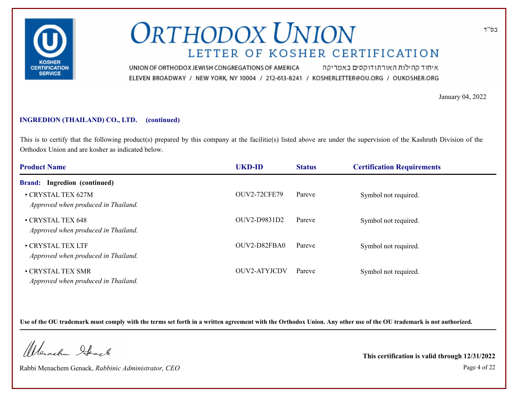

איחוד קהילות האורתודוקסים באמריקה UNION OF ORTHODOX JEWISH CONGREGATIONS OF AMERICA ELEVEN BROADWAY / NEW YORK, NY 10004 / 212-613-8241 / KOSHERLETTER@OU.ORG / OUKOSHER.ORG

January 04, 2022

### **INGREDION (THAILAND) CO., LTD. (continued)**

This is to certify that the following product(s) prepared by this company at the facilitie(s) listed above are under the supervision of the Kashruth Division of the Orthodox Union and are kosher as indicated below.

| <b>Product Name</b>                                       | <b>UKD-ID</b>       | <b>Status</b> | <b>Certification Requirements</b> |  |
|-----------------------------------------------------------|---------------------|---------------|-----------------------------------|--|
| <b>Brand:</b> Ingredion (continued)                       |                     |               |                                   |  |
| • CRYSTAL TEX 627M<br>Approved when produced in Thailand. | <b>OUV2-72CFE79</b> | Pareve        | Symbol not required.              |  |
| • CRYSTAL TEX 648<br>Approved when produced in Thailand.  | OUV2-D9831D2        | Pareve        | Symbol not required.              |  |
| • CRYSTAL TEX LTF<br>Approved when produced in Thailand.  | OUV2-D82FBA0        | Pareve        | Symbol not required.              |  |
| • CRYSTAL TEX SMR<br>Approved when produced in Thailand.  | <b>OUV2-ATYJCDV</b> | Pareve        | Symbol not required.              |  |

**Use of the OU trademark must comply with the terms set forth in a written agreement with the Orthodox Union. Any other use of the OU trademark is not authorized.**

Werschn Stack

Rabbi Menachem Genack, *Rabbinic Administrator, CEO* Page 4 of 22

**This certification is valid through 12/31/2022**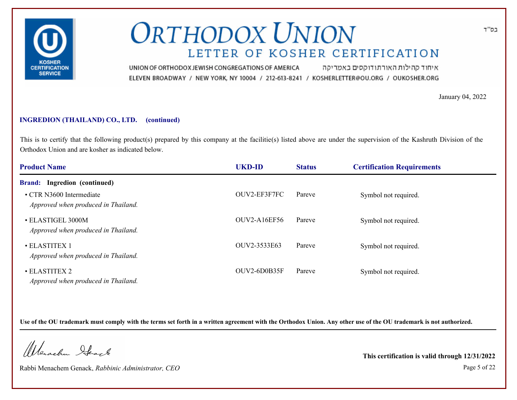

איחוד קהילות האורתודוקסים באמריקה UNION OF ORTHODOX JEWISH CONGREGATIONS OF AMERICA ELEVEN BROADWAY / NEW YORK, NY 10004 / 212-613-8241 / KOSHERLETTER@OU.ORG / OUKOSHER.ORG

January 04, 2022

### **INGREDION (THAILAND) CO., LTD. (continued)**

This is to certify that the following product(s) prepared by this company at the facilitie(s) listed above are under the supervision of the Kashruth Division of the Orthodox Union and are kosher as indicated below.

| <b>Product Name</b>                                             | <b>UKD-ID</b>       | <b>Status</b> | <b>Certification Requirements</b> |  |
|-----------------------------------------------------------------|---------------------|---------------|-----------------------------------|--|
| <b>Brand:</b> Ingredion (continued)                             |                     |               |                                   |  |
| • CTR N3600 Intermediate<br>Approved when produced in Thailand. | OUV2-EF3F7FC        | Pareve        | Symbol not required.              |  |
| • ELASTIGEL 3000M<br>Approved when produced in Thailand.        | <b>OUV2-A16EF56</b> | Pareve        | Symbol not required.              |  |
| • ELASTITEX 1<br>Approved when produced in Thailand.            | OUV2-3533E63        | Pareve        | Symbol not required.              |  |
| • ELASTITEX 2<br>Approved when produced in Thailand.            | OUV2-6D0B35F        | Pareve        | Symbol not required.              |  |

**Use of the OU trademark must comply with the terms set forth in a written agreement with the Orthodox Union. Any other use of the OU trademark is not authorized.**

Werschn Stack

Rabbi Menachem Genack, *Rabbinic Administrator, CEO* Page 5 of 22

**This certification is valid through 12/31/2022**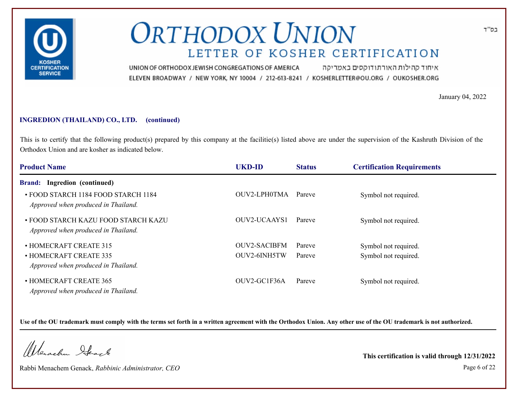

איחוד קהילות האורתודוקסים באמריקה UNION OF ORTHODOX JEWISH CONGREGATIONS OF AMERICA ELEVEN BROADWAY / NEW YORK, NY 10004 / 212-613-8241 / KOSHERLETTER@OU.ORG / OUKOSHER.ORG

January 04, 2022

### **INGREDION (THAILAND) CO., LTD. (continued)**

This is to certify that the following product(s) prepared by this company at the facilitie(s) listed above are under the supervision of the Kashruth Division of the Orthodox Union and are kosher as indicated below.

| <b>Product Name</b>                                                        | <b>UKD-ID</b>       | <b>Status</b> | <b>Certification Requirements</b> |  |
|----------------------------------------------------------------------------|---------------------|---------------|-----------------------------------|--|
| <b>Brand:</b> Ingredion (continued)                                        |                     |               |                                   |  |
| • FOOD STARCH 1184 FOOD STARCH 1184<br>Approved when produced in Thailand. | OUV2-LPH0TMA        | Pareve        | Symbol not required.              |  |
| • FOOD STARCH KAZU FOOD STARCH KAZU<br>Approved when produced in Thailand. | OUV2-UCAAYS1        | Pareve        | Symbol not required.              |  |
| • HOMECRAFT CREATE 315                                                     | <b>OUV2-SACIBFM</b> | Pareve        | Symbol not required.              |  |
| • HOMECRAFT CREATE 335<br>Approved when produced in Thailand.              | OUV2-6INH5TW        | Pareve        | Symbol not required.              |  |
| • HOMECRAFT CREATE 365<br>Approved when produced in Thailand.              | OUV2-GC1F36A        | Pareve        | Symbol not required.              |  |

**Use of the OU trademark must comply with the terms set forth in a written agreement with the Orthodox Union. Any other use of the OU trademark is not authorized.**

Werschn Stack

Rabbi Menachem Genack, *Rabbinic Administrator, CEO* Page 6 of 22

**This certification is valid through 12/31/2022**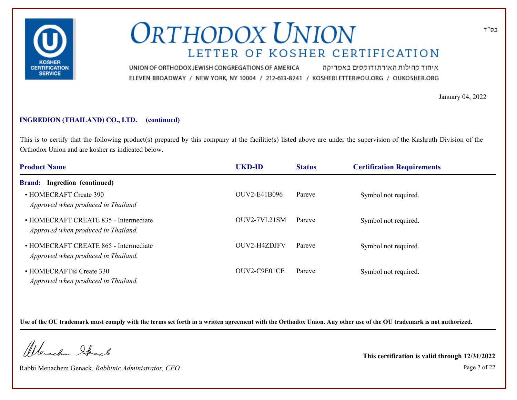

איחוד קהילות האורתודוקסים באמריקה UNION OF ORTHODOX JEWISH CONGREGATIONS OF AMERICA ELEVEN BROADWAY / NEW YORK, NY 10004 / 212-613-8241 / KOSHERLETTER@OU.ORG / OUKOSHER.ORG

January 04, 2022

### **INGREDION (THAILAND) CO., LTD. (continued)**

This is to certify that the following product(s) prepared by this company at the facilitie(s) listed above are under the supervision of the Kashruth Division of the Orthodox Union and are kosher as indicated below.

| <b>Product Name</b>                                                          | <b>UKD-ID</b> | <b>Status</b> | <b>Certification Requirements</b> |  |
|------------------------------------------------------------------------------|---------------|---------------|-----------------------------------|--|
| Ingredion (continued)<br><b>Brand:</b>                                       |               |               |                                   |  |
| • HOMECRAFT Create 390<br>Approved when produced in Thailand                 | OUV2-E41B096  | Pareve        | Symbol not required.              |  |
| • HOMECRAFT CREATE 835 - Intermediate<br>Approved when produced in Thailand. | OUV2-7VL21SM  | Pareve        | Symbol not required.              |  |
| • HOMECRAFT CREATE 865 - Intermediate<br>Approved when produced in Thailand. | OUV2-H4ZDJFV  | Pareve        | Symbol not required.              |  |
| • HOMECRAFT® Create 330<br>Approved when produced in Thailand.               | OUV2-C9E01CE  | Pareve        | Symbol not required.              |  |

**Use of the OU trademark must comply with the terms set forth in a written agreement with the Orthodox Union. Any other use of the OU trademark is not authorized.**

Werschn Stack

Rabbi Menachem Genack, *Rabbinic Administrator, CEO* Page 7 of 22

**This certification is valid through 12/31/2022**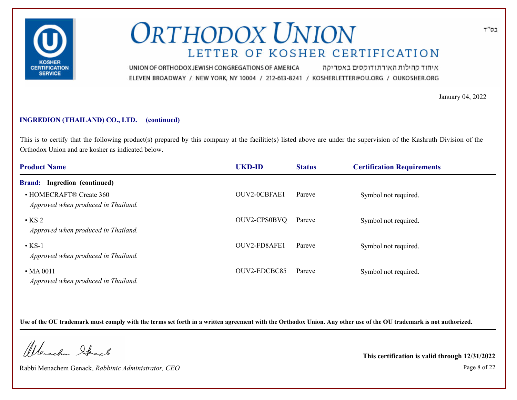

איחוד קהילות האורתודוקסים באמריקה UNION OF ORTHODOX JEWISH CONGREGATIONS OF AMERICA ELEVEN BROADWAY / NEW YORK, NY 10004 / 212-613-8241 / KOSHERLETTER@OU.ORG / OUKOSHER.ORG

January 04, 2022

### **INGREDION (THAILAND) CO., LTD. (continued)**

This is to certify that the following product(s) prepared by this company at the facilitie(s) listed above are under the supervision of the Kashruth Division of the Orthodox Union and are kosher as indicated below.

| <b>Product Name</b>                                            | <b>UKD-ID</b> | <b>Status</b> | <b>Certification Requirements</b> |  |
|----------------------------------------------------------------|---------------|---------------|-----------------------------------|--|
| Ingredion (continued)<br><b>Brand:</b>                         |               |               |                                   |  |
| • HOMECRAFT® Create 360<br>Approved when produced in Thailand. | OUV2-0CBFAE1  | Pareve        | Symbol not required.              |  |
| $\cdot$ KS 2<br>Approved when produced in Thailand.            | OUV2-CPS0BVQ  | Pareve        | Symbol not required.              |  |
| $\cdot$ KS-1<br>Approved when produced in Thailand.            | OUV2-FD8AFE1  | Pareve        | Symbol not required.              |  |
| $\cdot$ MA 0011<br>Approved when produced in Thailand.         | OUV2-EDCBC85  | Pareve        | Symbol not required.              |  |

**Use of the OU trademark must comply with the terms set forth in a written agreement with the Orthodox Union. Any other use of the OU trademark is not authorized.**

Werschn Stack

Rabbi Menachem Genack, *Rabbinic Administrator, CEO* Page 8 of 22

**This certification is valid through 12/31/2022**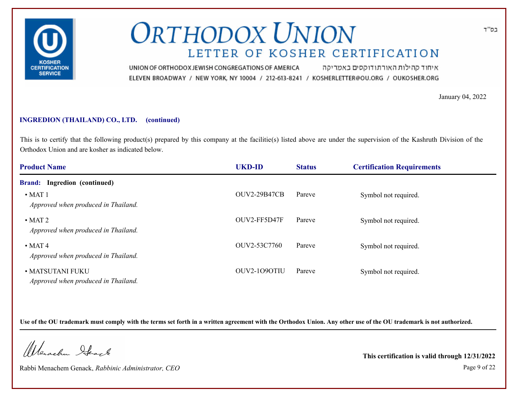

איחוד קהילות האורתודוקסים באמריקה UNION OF ORTHODOX JEWISH CONGREGATIONS OF AMERICA ELEVEN BROADWAY / NEW YORK, NY 10004 / 212-613-8241 / KOSHERLETTER@OU.ORG / OUKOSHER.ORG

January 04, 2022

### **INGREDION (THAILAND) CO., LTD. (continued)**

This is to certify that the following product(s) prepared by this company at the facilitie(s) listed above are under the supervision of the Kashruth Division of the Orthodox Union and are kosher as indicated below.

| <b>Product Name</b>                                     | <b>UKD-ID</b>       | <b>Status</b> | <b>Certification Requirements</b> |  |
|---------------------------------------------------------|---------------------|---------------|-----------------------------------|--|
| Ingredion (continued)<br><b>Brand:</b>                  |                     |               |                                   |  |
| $\bullet$ MAT 1<br>Approved when produced in Thailand.  | <b>OUV2-29B47CB</b> | Pareve        | Symbol not required.              |  |
| $\cdot$ MAT 2<br>Approved when produced in Thailand.    | OUV2-FF5D47F        | Pareve        | Symbol not required.              |  |
| $\cdot$ MAT 4<br>Approved when produced in Thailand.    | OUV2-53C7760        | Pareve        | Symbol not required.              |  |
| • MATSUTANI FUKU<br>Approved when produced in Thailand. | OUV2-1090TIU        | Pareve        | Symbol not required.              |  |

**Use of the OU trademark must comply with the terms set forth in a written agreement with the Orthodox Union. Any other use of the OU trademark is not authorized.**

Werschn Stack

Rabbi Menachem Genack, *Rabbinic Administrator, CEO* Page 9 of 22

**This certification is valid through 12/31/2022**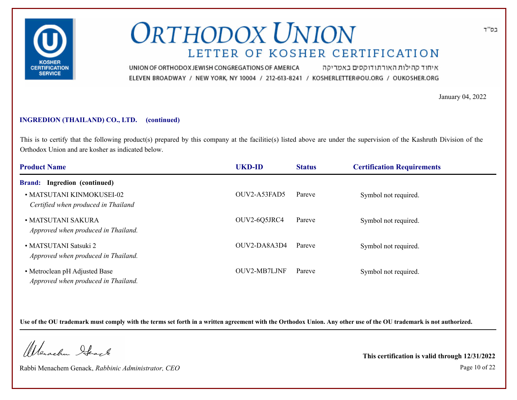

איחוד קהילות האורתודוקסים באמריקה UNION OF ORTHODOX JEWISH CONGREGATIONS OF AMERICA ELEVEN BROADWAY / NEW YORK, NY 10004 / 212-613-8241 / KOSHERLETTER@OU.ORG / OUKOSHER.ORG

January 04, 2022

### **INGREDION (THAILAND) CO., LTD. (continued)**

This is to certify that the following product(s) prepared by this company at the facilitie(s) listed above are under the supervision of the Kashruth Division of the Orthodox Union and are kosher as indicated below.

| <b>Product Name</b>                                                  | <b>UKD-ID</b>       | <b>Status</b> | <b>Certification Requirements</b> |  |
|----------------------------------------------------------------------|---------------------|---------------|-----------------------------------|--|
| Ingredion (continued)<br><b>Brand:</b>                               |                     |               |                                   |  |
| • MATSUTANI KINMOKUSEI-02<br>Certified when produced in Thailand     | OUV2-A53FAD5        | Pareve        | Symbol not required.              |  |
| • MATSUTANI SAKURA<br>Approved when produced in Thailand.            | OUV2-6Q5JRC4        | Pareve        | Symbol not required.              |  |
| • MATSUTANI Satsuki 2<br>Approved when produced in Thailand.         | OUV2-DA8A3D4        | Pareve        | Symbol not required.              |  |
| • Metroclean pH Adjusted Base<br>Approved when produced in Thailand. | <b>OUV2-MB7LJNF</b> | Pareve        | Symbol not required.              |  |

**Use of the OU trademark must comply with the terms set forth in a written agreement with the Orthodox Union. Any other use of the OU trademark is not authorized.**

Werschn Stack

Rabbi Menachem Genack, *Rabbinic Administrator, CEO* Page 10 of 22

**This certification is valid through 12/31/2022**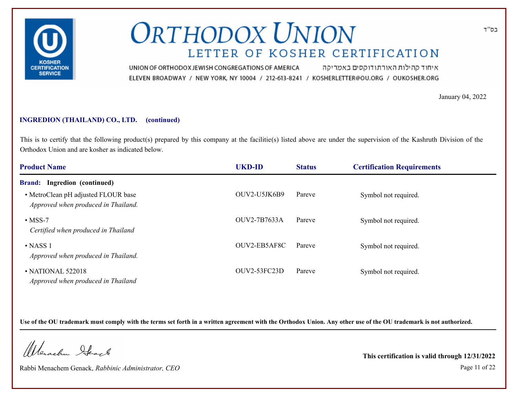

איחוד קהילות האורתודוקסים באמריקה UNION OF ORTHODOX JEWISH CONGREGATIONS OF AMERICA ELEVEN BROADWAY / NEW YORK, NY 10004 / 212-613-8241 / KOSHERLETTER@OU.ORG / OUKOSHER.ORG

January 04, 2022

### **INGREDION (THAILAND) CO., LTD. (continued)**

This is to certify that the following product(s) prepared by this company at the facilitie(s) listed above are under the supervision of the Kashruth Division of the Orthodox Union and are kosher as indicated below.

| <b>Product Name</b>                                                        | <b>UKD-ID</b>       | <b>Status</b> | <b>Certification Requirements</b> |  |
|----------------------------------------------------------------------------|---------------------|---------------|-----------------------------------|--|
| Ingredion (continued)<br><b>Brand:</b>                                     |                     |               |                                   |  |
| • MetroClean pH adjusted FLOUR base<br>Approved when produced in Thailand. | OUV2-U5JK6B9        | Pareve        | Symbol not required.              |  |
| $\cdot$ MSS-7<br>Certified when produced in Thailand                       | OUV2-7B7633A        | Pareve        | Symbol not required.              |  |
| $\cdot$ NASS 1<br>Approved when produced in Thailand.                      | OUV2-EB5AF8C        | Pareve        | Symbol not required.              |  |
| • NATIONAL 522018<br>Approved when produced in Thailand                    | <b>OUV2-53FC23D</b> | Pareve        | Symbol not required.              |  |

**Use of the OU trademark must comply with the terms set forth in a written agreement with the Orthodox Union. Any other use of the OU trademark is not authorized.**

Werschn Stack

Rabbi Menachem Genack, *Rabbinic Administrator, CEO* Page 11 of 22

**This certification is valid through 12/31/2022**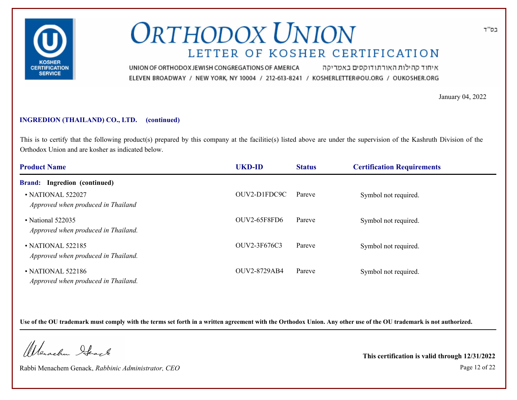

איחוד קהילות האורתודוקסים באמריקה UNION OF ORTHODOX JEWISH CONGREGATIONS OF AMERICA ELEVEN BROADWAY / NEW YORK, NY 10004 / 212-613-8241 / KOSHERLETTER@OU.ORG / OUKOSHER.ORG

January 04, 2022

### **INGREDION (THAILAND) CO., LTD. (continued)**

This is to certify that the following product(s) prepared by this company at the facilitie(s) listed above are under the supervision of the Kashruth Division of the Orthodox Union and are kosher as indicated below.

| <b>Product Name</b>                                            | <b>UKD-ID</b>       | <b>Status</b> | <b>Certification Requirements</b> |  |
|----------------------------------------------------------------|---------------------|---------------|-----------------------------------|--|
| <b>Brand:</b> Ingredion (continued)                            |                     |               |                                   |  |
| • NATIONAL 522027<br>Approved when produced in Thailand        | OUV2-D1FDC9C        | Pareve        | Symbol not required.              |  |
| • National 522035<br>Approved when produced in Thailand.       | <b>OUV2-65F8FD6</b> | Pareve        | Symbol not required.              |  |
| $\cdot$ NATIONAL 522185<br>Approved when produced in Thailand. | OUV2-3F676C3        | Pareve        | Symbol not required.              |  |
| • NATIONAL 522186<br>Approved when produced in Thailand.       | <b>OUV2-8729AB4</b> | Pareve        | Symbol not required.              |  |

**Use of the OU trademark must comply with the terms set forth in a written agreement with the Orthodox Union. Any other use of the OU trademark is not authorized.**

Werschn Stack

Rabbi Menachem Genack, *Rabbinic Administrator, CEO* Page 12 of 22

**This certification is valid through 12/31/2022**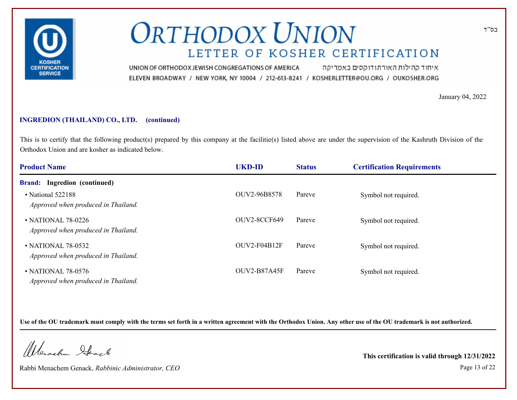

איחוד קהילות האורתודוקסים באמריקה UNION OF ORTHODOX JEWISH CONGREGATIONS OF AMERICA ELEVEN BROADWAY / NEW YORK, NY 10004 / 212-613-8241 / KOSHERLETTER@OU.ORG / OUKOSHER.ORG

January 04, 2022

### **INGREDION (THAILAND) CO., LTD. (continued)**

This is to certify that the following product(s) prepared by this company at the facilitie(s) listed above are under the supervision of the Kashruth Division of the Orthodox Union and are kosher as indicated below.

| <b>Product Name</b>                                       | <b>UKD-ID</b>       | <b>Status</b> | <b>Certification Requirements</b> |  |
|-----------------------------------------------------------|---------------------|---------------|-----------------------------------|--|
| <b>Brand:</b> Ingredion (continued)                       |                     |               |                                   |  |
| • National 522188<br>Approved when produced in Thailand.  | OUV2-96B8578        | Pareve        | Symbol not required.              |  |
| • NATIONAL 78-0226<br>Approved when produced in Thailand. | <b>OUV2-8CCF649</b> | Pareve        | Symbol not required.              |  |
| • NATIONAL 78-0532<br>Approved when produced in Thailand. | $OUV2-F04B12F$      | Pareve        | Symbol not required.              |  |
| • NATIONAL 78-0576<br>Approved when produced in Thailand. | <b>OUV2-B87A45F</b> | Pareve        | Symbol not required.              |  |

**Use of the OU trademark must comply with the terms set forth in a written agreement with the Orthodox Union. Any other use of the OU trademark is not authorized.**

Werschn Stack

Rabbi Menachem Genack, *Rabbinic Administrator, CEO* Page 13 of 22

**This certification is valid through 12/31/2022**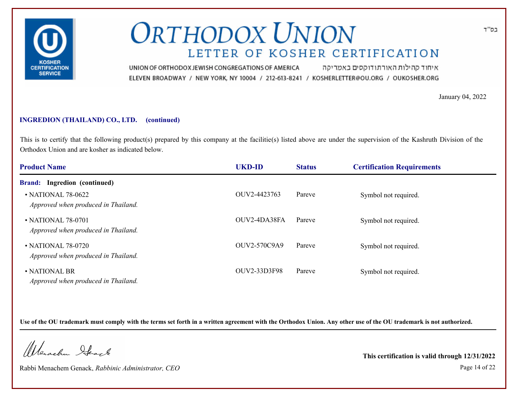

איחוד קהילות האורתודוקסים באמריקה UNION OF ORTHODOX JEWISH CONGREGATIONS OF AMERICA ELEVEN BROADWAY / NEW YORK, NY 10004 / 212-613-8241 / KOSHERLETTER@OU.ORG / OUKOSHER.ORG

January 04, 2022

### **INGREDION (THAILAND) CO., LTD. (continued)**

This is to certify that the following product(s) prepared by this company at the facilitie(s) listed above are under the supervision of the Kashruth Division of the Orthodox Union and are kosher as indicated below.

| <b>Product Name</b>                                       | <b>UKD-ID</b>       | <b>Status</b> | <b>Certification Requirements</b> |  |
|-----------------------------------------------------------|---------------------|---------------|-----------------------------------|--|
| <b>Brand:</b> Ingredion (continued)                       |                     |               |                                   |  |
| • NATIONAL 78-0622<br>Approved when produced in Thailand. | OUV2-4423763        | Pareve        | Symbol not required.              |  |
| • NATIONAL 78-0701<br>Approved when produced in Thailand. | OUV2-4DA38FA        | Pareve        | Symbol not required.              |  |
| • NATIONAL 78-0720<br>Approved when produced in Thailand. | <b>OUV2-570C9A9</b> | Pareve        | Symbol not required.              |  |
| • NATIONAL BR<br>Approved when produced in Thailand.      | OUV2-33D3F98        | Pareve        | Symbol not required.              |  |

**Use of the OU trademark must comply with the terms set forth in a written agreement with the Orthodox Union. Any other use of the OU trademark is not authorized.**

Werschn Stack

Rabbi Menachem Genack, *Rabbinic Administrator, CEO* Page 14 of 22

**This certification is valid through 12/31/2022**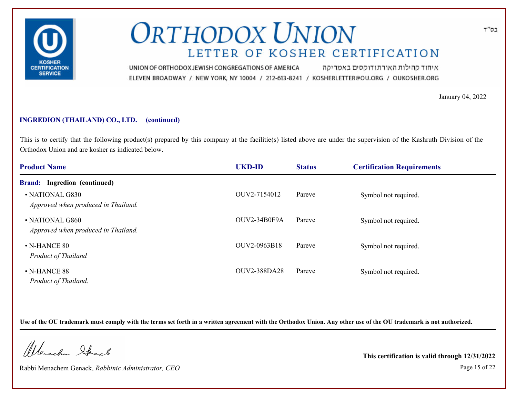

איחוד קהילות האורתודוקסים באמריקה UNION OF ORTHODOX JEWISH CONGREGATIONS OF AMERICA ELEVEN BROADWAY / NEW YORK, NY 10004 / 212-613-8241 / KOSHERLETTER@OU.ORG / OUKOSHER.ORG

January 04, 2022

### **INGREDION (THAILAND) CO., LTD. (continued)**

This is to certify that the following product(s) prepared by this company at the facilitie(s) listed above are under the supervision of the Kashruth Division of the Orthodox Union and are kosher as indicated below.

| <b>Product Name</b>                                    | <b>UKD-ID</b>       | <b>Status</b> | <b>Certification Requirements</b> |  |
|--------------------------------------------------------|---------------------|---------------|-----------------------------------|--|
| <b>Brand:</b> Ingredion (continued)                    |                     |               |                                   |  |
| • NATIONAL G830<br>Approved when produced in Thailand. | OUV2-7154012        | Pareve        | Symbol not required.              |  |
| • NATIONAL G860<br>Approved when produced in Thailand. | OUV2-34B0F9A        | Pareve        | Symbol not required.              |  |
| $\bullet$ N-HANCE 80<br><b>Product of Thailand</b>     | OUV2-0963B18        | Pareve        | Symbol not required.              |  |
| $\cdot$ N-HANCE 88<br>Product of Thailand.             | <b>OUV2-388DA28</b> | Pareve        | Symbol not required.              |  |

**Use of the OU trademark must comply with the terms set forth in a written agreement with the Orthodox Union. Any other use of the OU trademark is not authorized.**

Werschn Stack

Rabbi Menachem Genack, *Rabbinic Administrator, CEO* Page 15 of 22

**This certification is valid through 12/31/2022**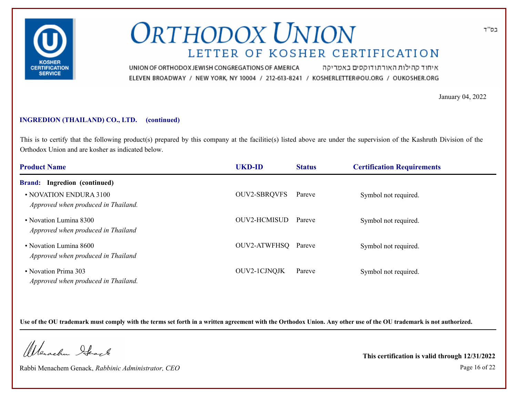

איחוד קהילות האורתודוקסים באמריקה UNION OF ORTHODOX JEWISH CONGREGATIONS OF AMERICA ELEVEN BROADWAY / NEW YORK, NY 10004 / 212-613-8241 / KOSHERLETTER@OU.ORG / OUKOSHER.ORG

January 04, 2022

### **INGREDION (THAILAND) CO., LTD. (continued)**

This is to certify that the following product(s) prepared by this company at the facilitie(s) listed above are under the supervision of the Kashruth Division of the Orthodox Union and are kosher as indicated below.

| <b>Product Name</b>                                           | <b>UKD-ID</b>       | <b>Status</b> | <b>Certification Requirements</b> |  |
|---------------------------------------------------------------|---------------------|---------------|-----------------------------------|--|
| <b>Brand:</b> Ingredion (continued)                           |                     |               |                                   |  |
| • NOVATION ENDURA 3100<br>Approved when produced in Thailand. | <b>OUV2-SBRQVFS</b> | Pareve        | Symbol not required.              |  |
| • Novation Lumina 8300<br>Approved when produced in Thailand  | OUV2-HCMISUD        | Pareve        | Symbol not required.              |  |
| • Novation Lumina 8600<br>Approved when produced in Thailand  | OUV2-ATWFHSQ Pareve |               | Symbol not required.              |  |
| • Novation Prima 303<br>Approved when produced in Thailand.   | <b>OUV2-1CJNQJK</b> | Pareve        | Symbol not required.              |  |

**Use of the OU trademark must comply with the terms set forth in a written agreement with the Orthodox Union. Any other use of the OU trademark is not authorized.**

Werschn Stack

Rabbi Menachem Genack, *Rabbinic Administrator, CEO* Page 16 of 22

**This certification is valid through 12/31/2022**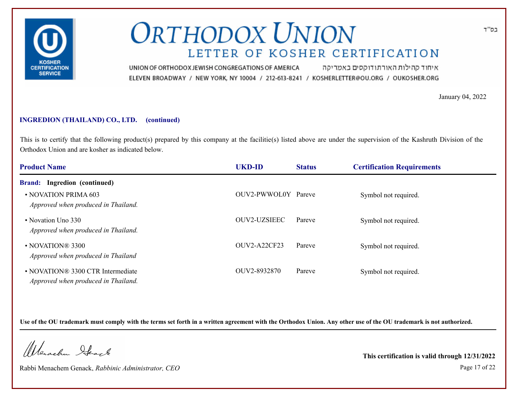

איחוד קהילות האורתודוקסים באמריקה UNION OF ORTHODOX JEWISH CONGREGATIONS OF AMERICA ELEVEN BROADWAY / NEW YORK, NY 10004 / 212-613-8241 / KOSHERLETTER@OU.ORG / OUKOSHER.ORG

January 04, 2022

### **INGREDION (THAILAND) CO., LTD. (continued)**

This is to certify that the following product(s) prepared by this company at the facilitie(s) listed above are under the supervision of the Kashruth Division of the Orthodox Union and are kosher as indicated below.

| <b>Product Name</b>                                                      | <b>UKD-ID</b>       | <b>Status</b> | <b>Certification Requirements</b> |  |
|--------------------------------------------------------------------------|---------------------|---------------|-----------------------------------|--|
| Ingredion (continued)<br><b>Brand:</b>                                   |                     |               |                                   |  |
| • NOVATION PRIMA 603<br>Approved when produced in Thailand.              | OUV2-PWWOL0Y Pareve |               | Symbol not required.              |  |
| • Novation Uno 330<br>Approved when produced in Thailand.                | OUV2-UZSIEEC        | Pareve        | Symbol not required.              |  |
| • NOVATION® 3300<br>Approved when produced in Thailand                   | <b>OUV2-A22CF23</b> | Pareve        | Symbol not required.              |  |
| • NOVATION® 3300 CTR Intermediate<br>Approved when produced in Thailand. | OUV2-8932870        | Pareve        | Symbol not required.              |  |

**Use of the OU trademark must comply with the terms set forth in a written agreement with the Orthodox Union. Any other use of the OU trademark is not authorized.**

Werschn Stack

Rabbi Menachem Genack, *Rabbinic Administrator, CEO* Page 17 of 22

**This certification is valid through 12/31/2022**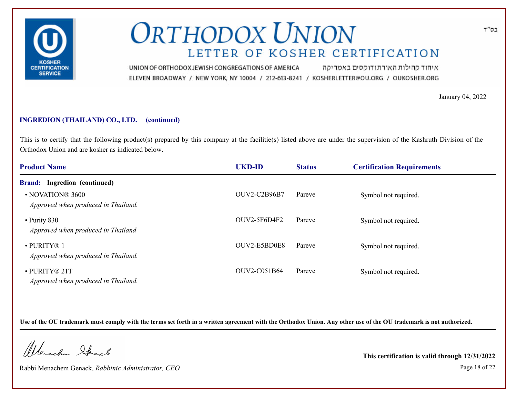

איחוד קהילות האורתודוקסים באמריקה UNION OF ORTHODOX JEWISH CONGREGATIONS OF AMERICA ELEVEN BROADWAY / NEW YORK, NY 10004 / 212-613-8241 / KOSHERLETTER@OU.ORG / OUKOSHER.ORG

January 04, 2022

### **INGREDION (THAILAND) CO., LTD. (continued)**

This is to certify that the following product(s) prepared by this company at the facilitie(s) listed above are under the supervision of the Kashruth Division of the Orthodox Union and are kosher as indicated below.

| <b>Product Name</b>                                      | <b>UKD-ID</b>       | <b>Status</b> | <b>Certification Requirements</b> |  |
|----------------------------------------------------------|---------------------|---------------|-----------------------------------|--|
| <b>Brand:</b> Ingredion (continued)                      |                     |               |                                   |  |
| • NOVATION® 3600<br>Approved when produced in Thailand.  | <b>OUV2-C2B96B7</b> | Pareve        | Symbol not required.              |  |
| • Purity 830<br>Approved when produced in Thailand       | OUV2-5F6D4F2        | Pareve        | Symbol not required.              |  |
| $\cdot$ PURITY® 1<br>Approved when produced in Thailand. | OUV2-E5BD0E8        | Pareve        | Symbol not required.              |  |
| · PURITY® 21T<br>Approved when produced in Thailand.     | OUV2-C051B64        | Pareve        | Symbol not required.              |  |

**Use of the OU trademark must comply with the terms set forth in a written agreement with the Orthodox Union. Any other use of the OU trademark is not authorized.**

Werschn Stack

Rabbi Menachem Genack, *Rabbinic Administrator, CEO* Page 18 of 22

**This certification is valid through 12/31/2022**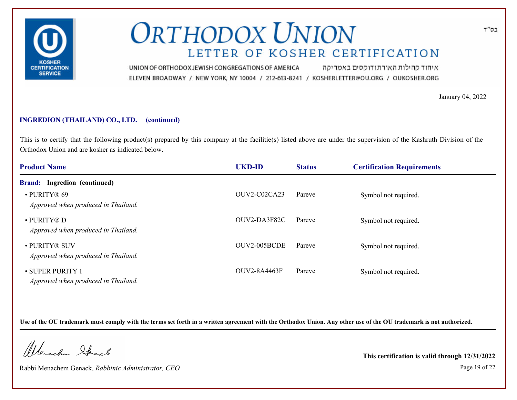

איחוד קהילות האורתודוקסים באמריקה UNION OF ORTHODOX JEWISH CONGREGATIONS OF AMERICA ELEVEN BROADWAY / NEW YORK, NY 10004 / 212-613-8241 / KOSHERLETTER@OU.ORG / OUKOSHER.ORG

January 04, 2022

### **INGREDION (THAILAND) CO., LTD. (continued)**

This is to certify that the following product(s) prepared by this company at the facilitie(s) listed above are under the supervision of the Kashruth Division of the Orthodox Union and are kosher as indicated below.

| <b>Product Name</b>                                       | <b>UKD-ID</b> | <b>Status</b> | <b>Certification Requirements</b> |  |
|-----------------------------------------------------------|---------------|---------------|-----------------------------------|--|
| <b>Brand:</b> Ingredion (continued)                       |               |               |                                   |  |
| $\cdot$ PURITY® 69<br>Approved when produced in Thailand. | OUV2-C02CA23  | Pareve        | Symbol not required.              |  |
| • PURITY® D<br>Approved when produced in Thailand.        | OUV2-DA3F82C  | Pareve        | Symbol not required.              |  |
| • PURITY® SUV<br>Approved when produced in Thailand.      | OUV2-005BCDE  | Pareve        | Symbol not required.              |  |
| • SUPER PURITY 1<br>Approved when produced in Thailand.   | OUV2-8A4463F  | Pareve        | Symbol not required.              |  |

**Use of the OU trademark must comply with the terms set forth in a written agreement with the Orthodox Union. Any other use of the OU trademark is not authorized.**

Werschn Stack

Rabbi Menachem Genack, *Rabbinic Administrator, CEO* Page 19 of 22

**This certification is valid through 12/31/2022**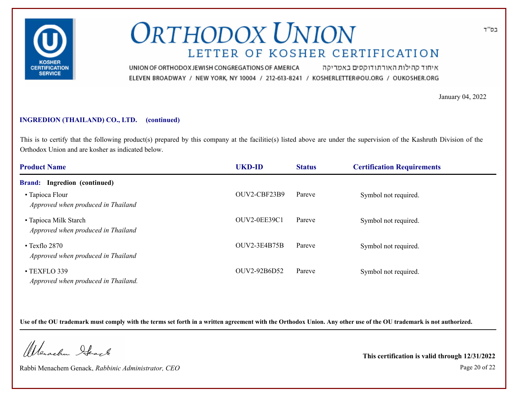

איחוד קהילות האורתודוקסים באמריקה UNION OF ORTHODOX JEWISH CONGREGATIONS OF AMERICA ELEVEN BROADWAY / NEW YORK, NY 10004 / 212-613-8241 / KOSHERLETTER@OU.ORG / OUKOSHER.ORG

January 04, 2022

### **INGREDION (THAILAND) CO., LTD. (continued)**

This is to certify that the following product(s) prepared by this company at the facilitie(s) listed above are under the supervision of the Kashruth Division of the Orthodox Union and are kosher as indicated below.

| <b>Product Name</b>                                         | <b>UKD-ID</b>       | <b>Status</b> | <b>Certification Requirements</b> |  |
|-------------------------------------------------------------|---------------------|---------------|-----------------------------------|--|
| <b>Brand:</b> Ingredion (continued)                         |                     |               |                                   |  |
| • Tapioca Flour<br>Approved when produced in Thailand       | OUV2-CBF23B9        | Pareve        | Symbol not required.              |  |
| • Tapioca Milk Starch<br>Approved when produced in Thailand | OUV2-0EE39C1        | Pareve        | Symbol not required.              |  |
| $\cdot$ Texflo 2870<br>Approved when produced in Thailand   | <b>OUV2-3E4B75B</b> | Pareve        | Symbol not required.              |  |
| • TEXFLO 339<br>Approved when produced in Thailand.         | OUV2-92B6D52        | Pareve        | Symbol not required.              |  |

**Use of the OU trademark must comply with the terms set forth in a written agreement with the Orthodox Union. Any other use of the OU trademark is not authorized.**

Werschn Stack

Rabbi Menachem Genack, *Rabbinic Administrator, CEO* Page 20 of 22

**This certification is valid through 12/31/2022**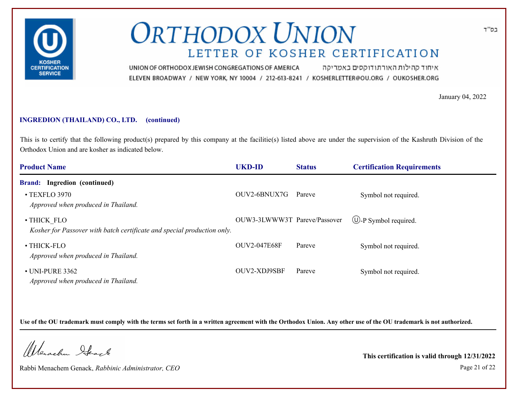

איחוד קהילות האורתודוקסים באמריקה UNION OF ORTHODOX JEWISH CONGREGATIONS OF AMERICA ELEVEN BROADWAY / NEW YORK, NY 10004 / 212-613-8241 / KOSHERLETTER@OU.ORG / OUKOSHER.ORG

January 04, 2022

### **INGREDION (THAILAND) CO., LTD. (continued)**

This is to certify that the following product(s) prepared by this company at the facilitie(s) listed above are under the supervision of the Kashruth Division of the Orthodox Union and are kosher as indicated below.

| <b>Product Name</b>                                                                    | <b>UKD-ID</b>                | <b>Status</b> | <b>Certification Requirements</b> |
|----------------------------------------------------------------------------------------|------------------------------|---------------|-----------------------------------|
| <b>Brand:</b> Ingredion (continued)                                                    |                              |               |                                   |
| • TEXFLO 3970<br>Approved when produced in Thailand.                                   | OUV2-6BNUX7G                 | Pareve        | Symbol not required.              |
| • THICK FLO<br>Kosher for Passover with batch certificate and special production only. | OUW3-3LWWW3T Pareve/Passover |               | $\bigcirc$ -P Symbol required.    |
| • THICK-FLO<br>Approved when produced in Thailand.                                     | <b>OUV2-047E68F</b>          | Pareve        | Symbol not required.              |
| $\cdot$ UNI-PURE 3362<br>Approved when produced in Thailand.                           | OUV2-XDJ9SBF                 | Pareve        | Symbol not required.              |

**Use of the OU trademark must comply with the terms set forth in a written agreement with the Orthodox Union. Any other use of the OU trademark is not authorized.**

Werschn Stack

Rabbi Menachem Genack, *Rabbinic Administrator, CEO* Page 21 of 22

**This certification is valid through 12/31/2022**